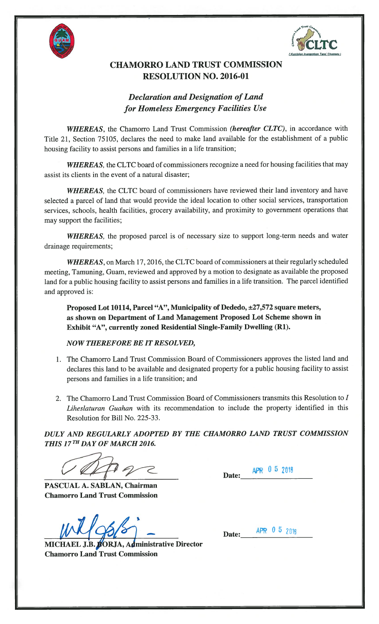



## CHAMORRO LAND TRUST COMMISSION RESOLUTION NO. 2016-01

## Declaration and Designation of Land for Homeless Emergency Facilities Use

WHEREAS, the Chamorro Land Trust Commission (hereafter CLTC), in accordance with Title 21, Section 75105, declares the need to make land available for the establishment of a public housing facility to assist persons and families in a life transition;

WHEREAS, the CLTC board of commissioners recognize a need for housing facilities that may assist its clients in the event of a natural disaster;

WHEREAS, the CLTC board of commissioners have reviewed their land inventory and have selected a parcel of land that would provide the ideal location to other social services, transportation services, schools, health facilities, grocery availability, and proximity to government operations that may support the facilities;

WHEREAS, the proposed parcel is of necessary size to support long-term needs and water drainage requirements;

WHEREAS, on March 17, 2016, the CLTC board of commissioners at their regularly scheduled meeting, Tamuning, Guam, reviewed and approved by a motion to designate as available the proposed land for a public housing facility to assist persons and families in a life transition. The parcel identified and approved is:

Proposed Lot 10114, Parcel "A", Municipality of Dededo, ±27,572 square meters, as shown on Department of Land Management Proposed Lot Scheme shown in Exhibit "A", currently zoned Residential Single-Family Dwelling (Ri).

## NOW THEREFORE BE IT RESOLVED,

- 1. The Chamorro Land Trust Commission Board of Commissioners approves the listed land and declares this land to be available and designated property for a public housing facility to assist persons and families in a life transition; and
- 2. The Chamorro Land Trust Commission Board of Commissioners transmits this Resolution to I Liheslaturan Guahan with its recommendation to include the property identified in this Resolution for Bill No. 225-33.

DULY AND REGULARLY ADOPTED BY THE CHAMORRO LAND TRUST COMMISSION THIS 17TH DAY OF MARCH 2016.

PASCUAL A. SABLAN, Chairman Chamorro Land Trust Commission

MICHAEL J.B. BORJA, Administrative Director Chamorro Land Trust Commission

Date: **APR** 0 5 2018

Date: **APR 0 5 2016**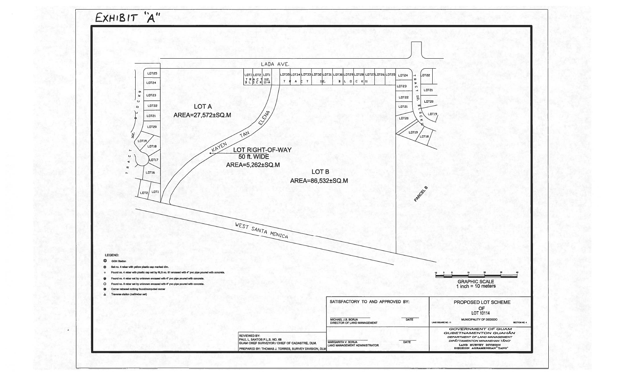